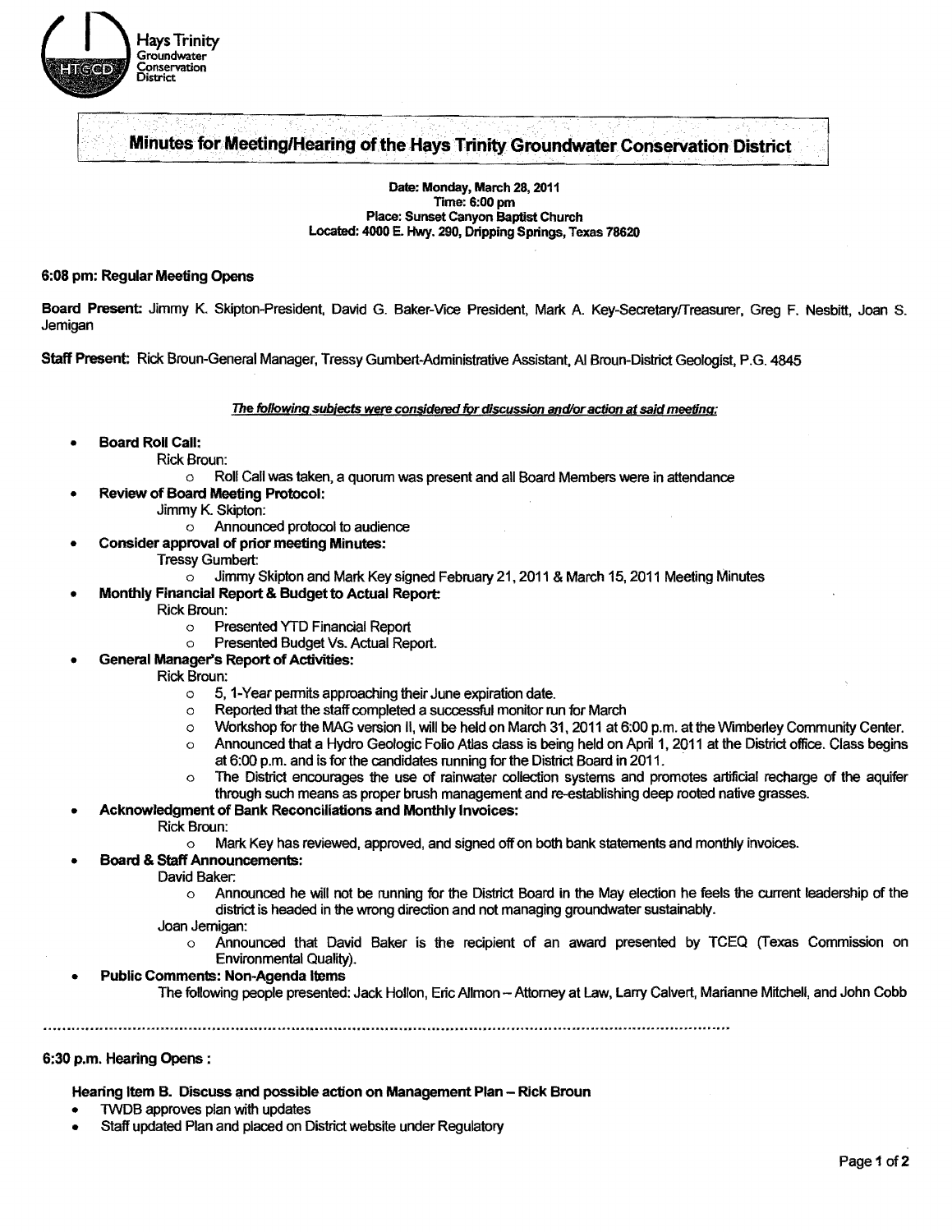

# **Minutes for Meeting/Hearing of the Hays Trinity Groundwater Conservation District**

Date: Monday, March 28, 2011 **Time: 6:00 pm** Place: Sunset Canyon Baptist Church Located: 4000 E. Hwy. 290, Dripping Springs, Texas 78620

#### 6:08 pm: Regular Meeting Opens

Board Present: Jimmy K. Skipton-President, David G. Baker-Vice President, Mark A. Key-Secretary/Treasurer, Greg F. Nesbitt, Joan S. Jernigan

Staff Present; Rick Broun-General Manager, Tressy Gumbert-Administrative Assistant, AI Broun-District Geologist, P.G. 4845

The following subjects were considered for discussion and/or action at said meeting:

- Board Roll Call:
	- Rick Broun:
		- o Roll Call was taken, a quorum was present and all Board Members were in attendance
- Review of Board Meeting Protocol:
	- Jimmy K. Skipton:
		- o Announced protocol to audience
	- Consider approval of prior meeting Minutes:
		- Tressy Gumbert:<br>| Jimmy
			- Jimmy Skipton and Mark Key signed February 21, 2011 & March 15, 2011 Meeting Minutes
	- Monthly Financial Report & Budget to Actual Report:
		- Rick Broun:<br>Pr
			- Presented YTD Financial Report
			- o Presented Budget Vs. Actual Report.
		- General Manager's Report of Activities:
			- Rick Broun:
				- o 5, 1-Year permits approaching their June expiration date.
				- o Reported that the staff completed a successful monitor run for March
				- $\circ$  Workshop for the MAG version II, will be held on March 31, 2011 at 6:00 p.m. at the Wimberley Community Center.
				- $\circ$  Announced that a Hydro Geologic Folio Atlas class is being held on April 1, 2011 at the District office. Class begins at 6:00 p.m. and is for the candidates running for the District Board in 2011. .
				- $\circ$  The District encourages the use of rainwater collection systems and promotes artificial recharge of the aquifer through such means as proper brush management and re-establishing deep rooted native grasses.
- Acknowledgment of Bank Reconciliations and Monthly Invoices:
	- Rick Broun:
		- o Mark Key has reviewed, approved, and signed off on both bank statements and monthly invoices.
	- **Board & Staff Announcements:** 
		- David Baker:
			- $\circ$  Announced he will not be running for the District Board in the May election he feels the current leadership of the district is headed in the wrong direcfion and not managing groundwater sustainably.
		- Joan Jernigan:
			- o Announced that David Baker is the recipient of an award presented by TCEQ (Texas Commission on Environmental Quality).
- Public Comments: Non-Agenda Items
	- The following people presented: Jack Hollon, Eric Allmon -- Attorney at Law, Larry Calvert, Marianne Mitchell, and John Cobb

#### 6:30 p.m. Hearing Opens :

Hearing Item B. Discuss and possible action on Management Plan - Rick Broun

- TWDB approves plan with updates
- Staff updated Plan and placed on District website under Regulatory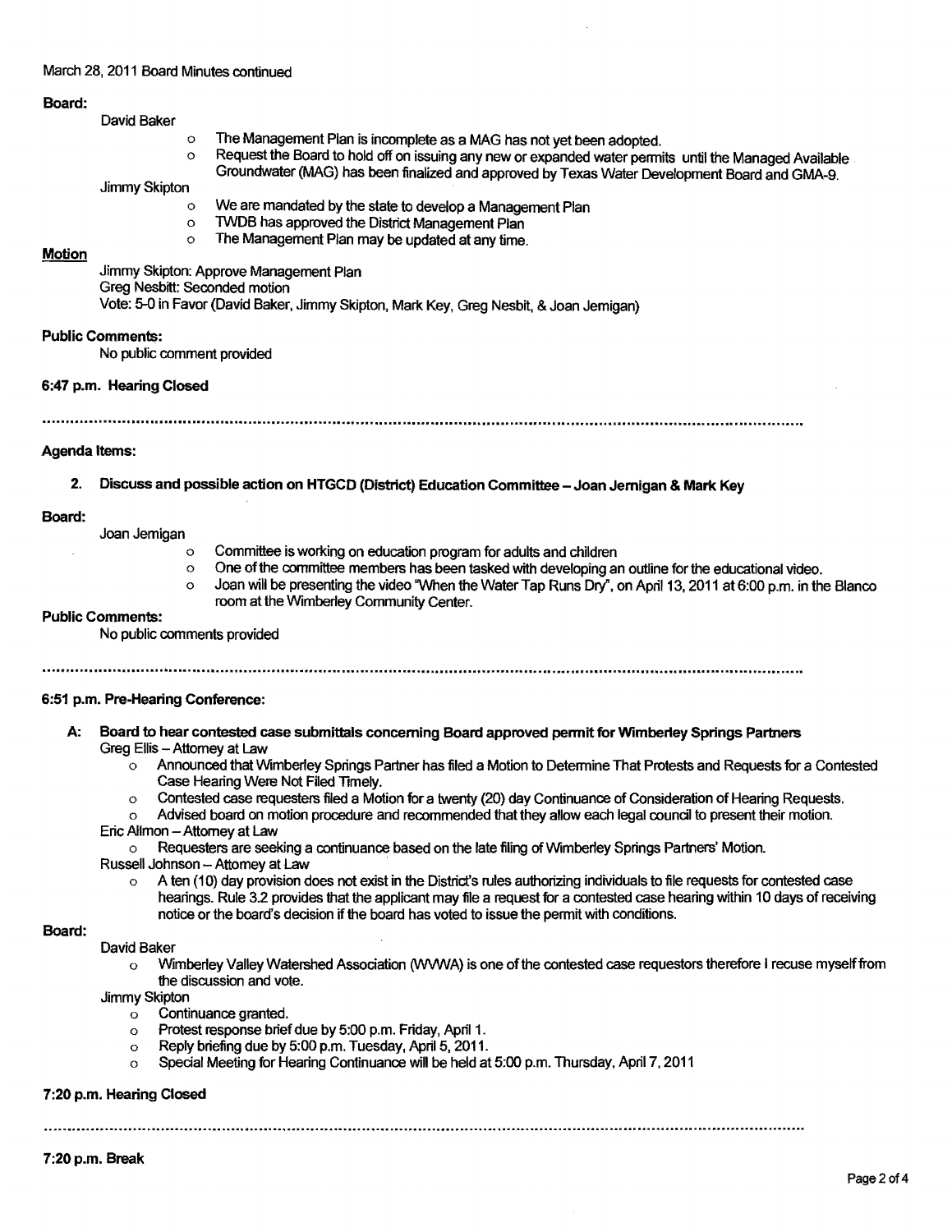# March 28, 2011 Board Minutes continued

# Board:

| David Baker |  |
|-------------|--|
|-------------|--|

- $\circ$  The Management Plan is incomplete as a MAG has not yet been adopted.<br> $\circ$  Request the Board to hold off on issuing any now or expanded water norm.
- Request the Board to hold off on issuing any new or expanded water permits until the Managed Available Groundwater (MAG) has been finalized and approved by Texas Water Development Board and GMA-9.

Jimmy Skipton

- o We are mandated by the state to develop a Management Plan<br>o TWDB has approved the District Management Plan
- o TWDB has approved the District Management Plan<br>O The Management Plan may be undeted at any time
- The Management Plan may be updated at any time.

#### Motion

Jimmy Skipton: Approve Management Plan Greg Nesbitt: Seconded motion Vote: 5-0 in Favor (David Baker, Jimmy Skipton, Mark Key, Greg Nesbit, & Joan Jemigan)

# Public Comments:

No public comment provided

6:47 p.m. Hearing Closed

......................................................................................................................................................................................"

#### Agenda Items:

2. Discuss and possible action on HTGCD (District) Education Committee - Joan Jernigan & Mark Key

#### Board:

Joan Jemigan

- o Committee is working on education program for adults and children<br>One of the committee members has been tasked with developing and
- o One of the committee members has been tasked with developing an outline for the educational video.<br>O clean will be presenting the video "When the Water Tap Runs Dry" on April 13, 2011 at 6:00 p.m. in the
- Joan will be presenting the video "When the Water Tap Runs Dry", on April 13, 2011 at 6:00 p.m. in the Blanco room at the Wimberley Community Center.

# Public Comments:

No public comments provided

.......................................................................................................................................... It ..............................................................

# 6:51 p.m. Pre-liearing Conference:

- A: Board to hear contested case submittals conceming Board approved permit for Wimberley Springs Partners Greg Ellis - Attomey at Law
	- Announced that Wimberley Springs Partner has filed a Motion to Determine That Protests and Requests for a Contested Case Hearing Were Not Filed Timely.
	- o Contested case requesters filed a Motion for a twenty (20) day Continuance of Consideration of Hearing Requests.
	- o Advised board on motion procedure and recommended that they allow each legal council to present their motion.
	- Eric Allmon Attorney at Law

o Requesters are seeking a continuance based on the late filing of Wimberley Springs Partners' Motion.

Russell Johnson - Attomey at Law

A ten (10) day provision does not exist in the District's rules authorizing individuals to file requests for contested case hearings. Rule 32 provides that the applicant may file a request for a contested case hearing within 10 days of receiving notice or the board's decision if the board has voted to issue the permit with conditions.

# Board:

- David Baker
	- o Wimberley Valley Watershed Association (WWWA) is one of the contested case requestors therefore I recuse myself from the discussion and vote.

Jimmy Skipton

- o Continuance granted.
- o Protest response briefdue by 5:00 p.m. Friday, April 1.
- o Reply briefing due by 5:00 p.m. Tuesday, April 5, 2011.
- o Special Meeting for Hearing Continuance will be held at 5:00 p.m. Thursday, April 7, 2011

# 7:20 p.m. Hearing Closed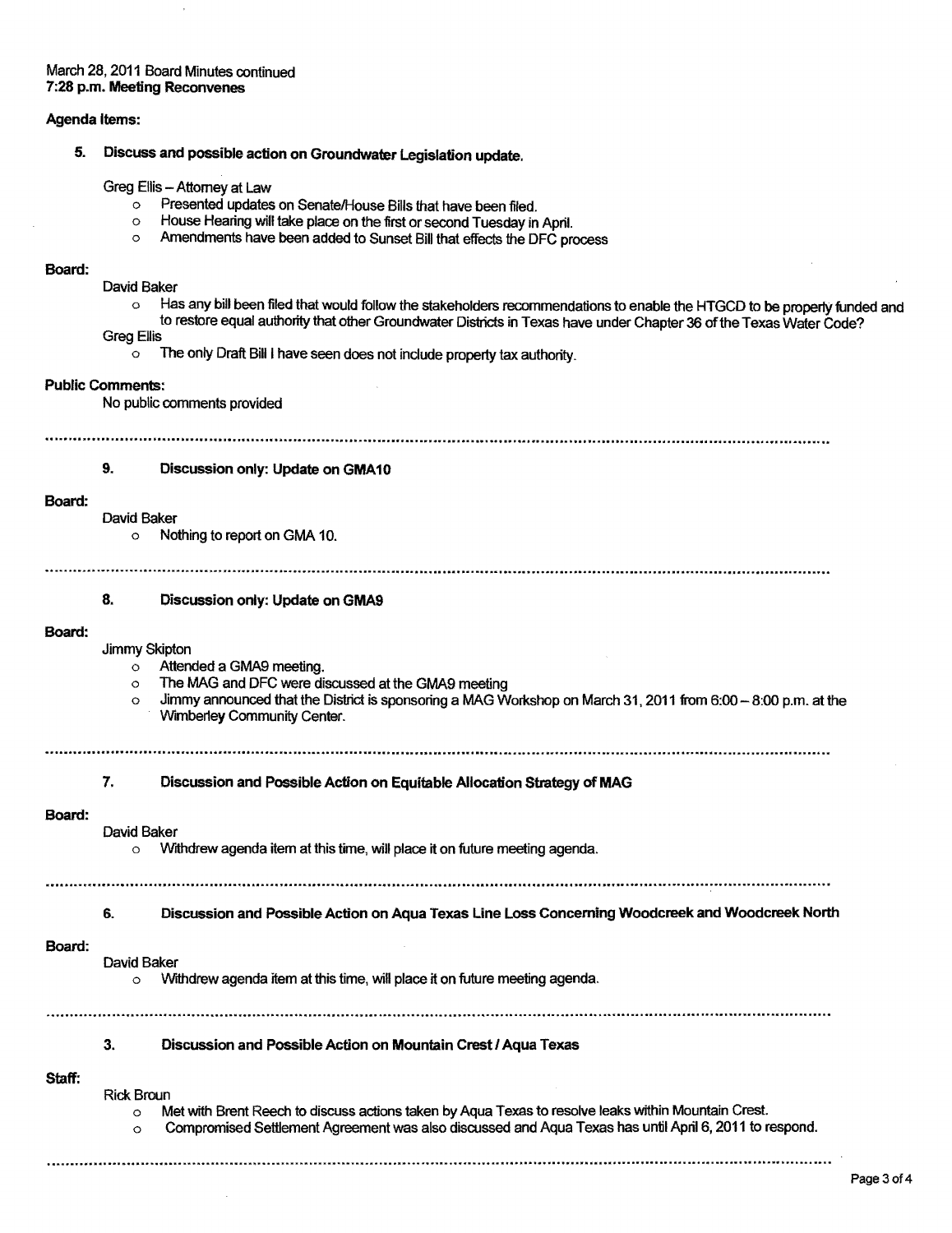# March 28, 2011 Board Minutes continued 7:28 p.m. Meeting Reconvenes

#### Agenda Items:

5. Discuss and possible action on Groundwater Legislation update.

Greg Ellis - Attorney at Law

- $\overline{\phantom{a}}$  Presented updates on Senate/House Bills that have been filed.<br>  $\overline{\phantom{a}}$  House Hearing will take place on the first or second Tuesday in
- o House Hearing will take place on the first or second Tuesday in April.<br>O Amendments have been added to Sunset Bill that effects the DEC pr
- Amendments have been added to Sunset Bill that effects the DFC process

#### Board:

- David Baker
	- o Has any bill been filed that would follow the stakeholders recommendations to enable the HTGCD to be property funded and to restore equal authority that other Groundwater Districts in Texas have under Chapter 36 ofthe Texas Water Code?

Greg Ellis

o The only Draft Bill I have seen does not indude property tax authority.

#### Public Comments:

No public comments provided

....................................... ,.~ ..........................................................................................................................."'" ................................

#### 9. Discussion only: Update on GMA10

#### Board:

#### David Baker

o Nothing to report on GMA 10.

..... a ..................................................................................................................................................................................................................................... ..

# 8. Discussion only: Update on GMA9

#### Board:

Jimmy Skipton

- o Attended a GMA9 meeting.
- o The MAG and DFC were discussed at the GMA9 meeting
- $\circ$  Jimmy announced that the District is sponsoring a MAG Workshop on March 31, 2011 from 6:00  $-$  8:00 p.m. at the Wimberley Community Center.
- 
- 7. Discussion and Possible Action on Equitable Allocation Strategy of MAG

#### Board:

- David Baker
	- o Withdrew agenda item at this time, will place it on future meeting agenda.
	-

#### 6. Discussion and Possible Action on Aqua Texas Line Loss Concerning Woodcreek and Woodcreek North

#### Board:

- David Baker
	- o Withdrew agenda item at this time, will place it on future meeting agenda.

# 3. Discussion and Possible Action on Mountain Crest I Aqua Texas

# Staff:

- Rick Broun
	- $\circ$  Met with Brent Reech to discuss actions taken by Aqua Texas to resolve leaks within Mountain Crest.

...................................................................... "..........................................................................................................................

o Compromised Settlement Agreement was also discussed and Aqua Texas has until April 6, 2011 to respond.